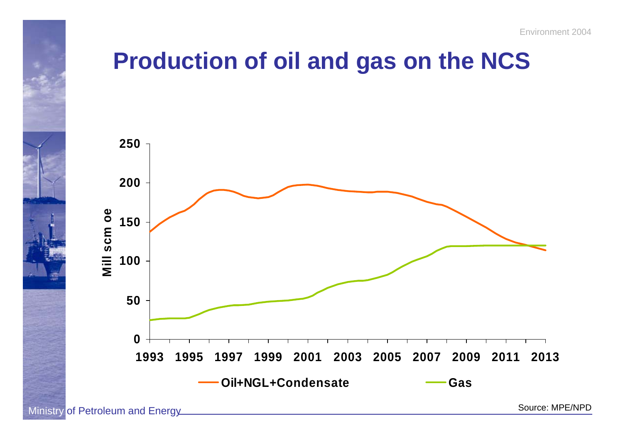

#### **Production of oil and gas on the NCS**



Ministry of Petroleum and Energy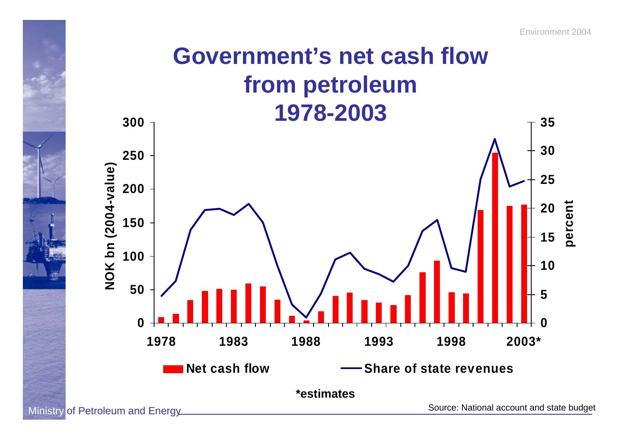#### **Government's net cash flowfrom petroleum 1978-2003**



Ministry of Petroleum and Energy

Source: National account and state budget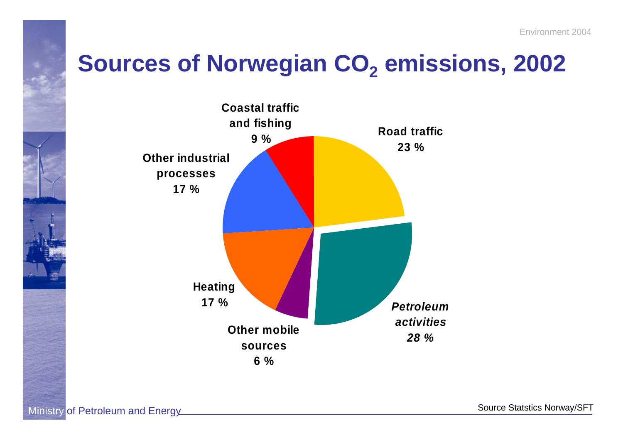#### **Sources of Norwegian CO2 emissions, 2002**



Source Statstics Norway/SFT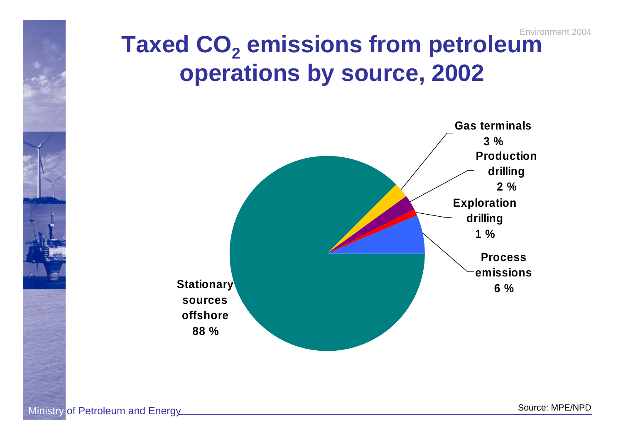

#### Environment 2004**Taxed CO2 emissions from petroleum operations by source, 2002**



Ministry of Petroleum and Energy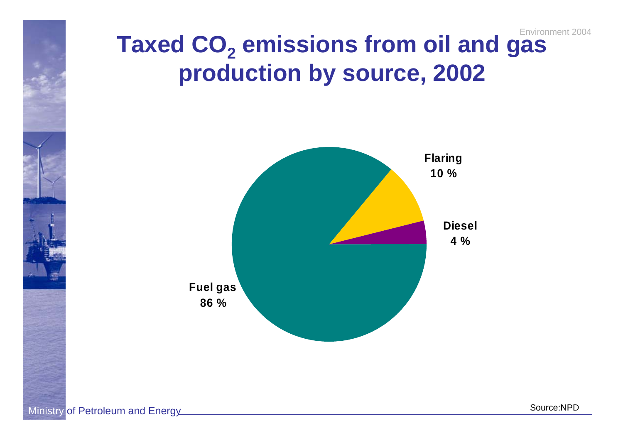

#### Environment 2004**Taxed CO2 emissions from oil and gas production by source, 2002**



Ministry of Petroleum and Energy

Source:NPD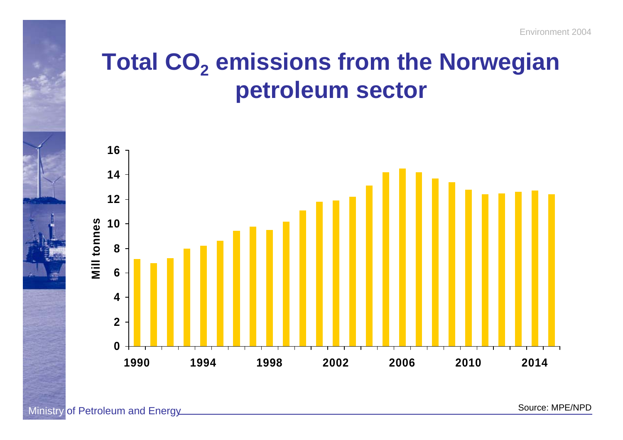# **Total CO2 emissions from the Norwegian petroleum sector**



Ministry of Petroleum and Energy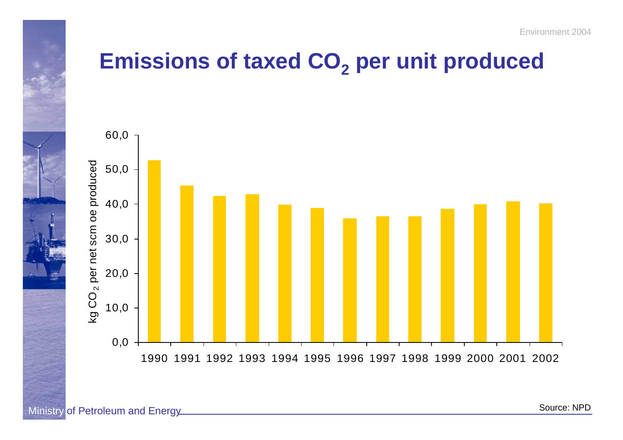

#### **Emissions of taxed CO2 per unit produced**



Ministry of Petroleum and Energy

Source: NPD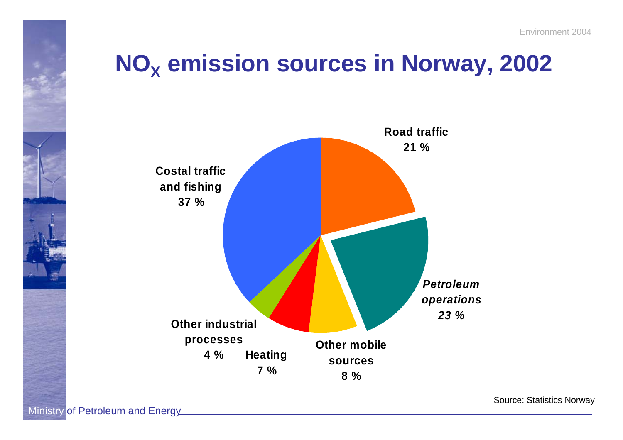# $NO_{\chi}$  emission sources in Norway, 2002



Source: Statistics Norway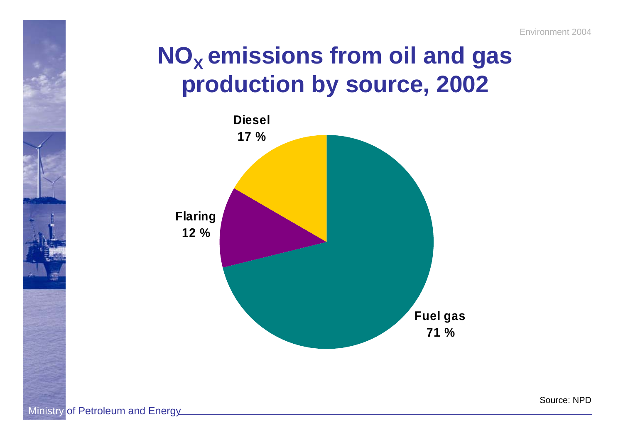# **NO<sub>x</sub> emissions from oil and gas production by source, 2002**



Source: NPD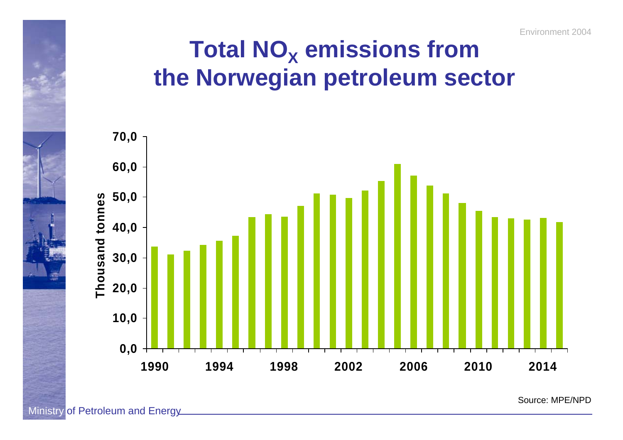

#### $\mathbf{T}$ otal NO<sub>x</sub> emissions from **the Norwegian petroleum sector**



Ministry of Petroleum and Energy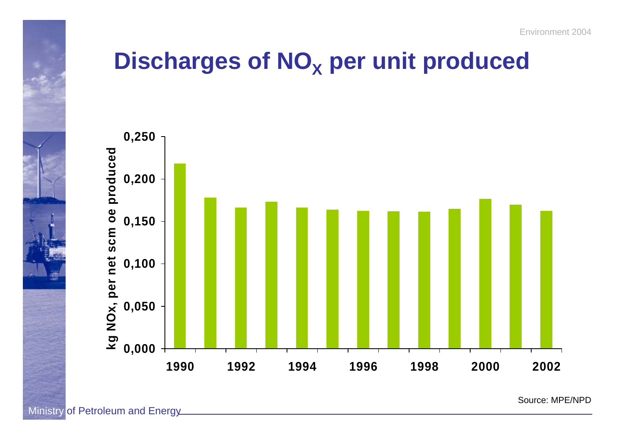

#### **Discharges of NOX per unit produced**



Source: MPE/NPD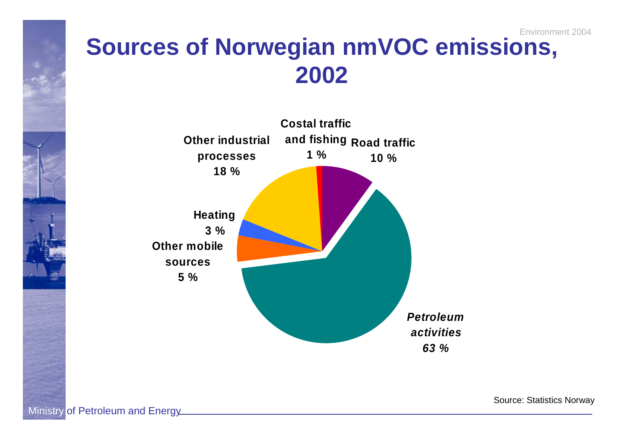



Source: Statistics Norway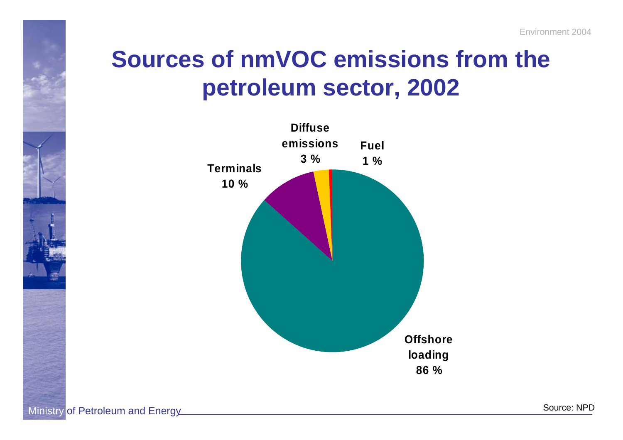# **Sources of nmVOC emissions from the petroleum sector, 2002**

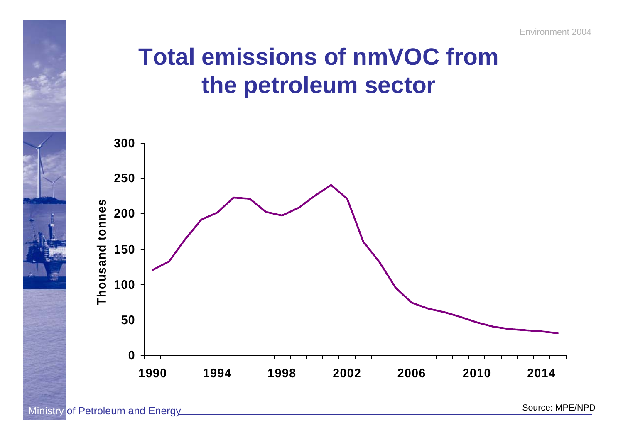### **Total emissions of nmVOC from the petroleum sector**

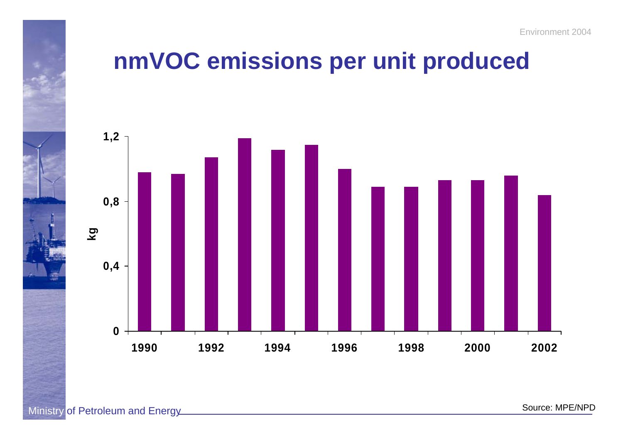## **nmVOC emissions per unit produced**

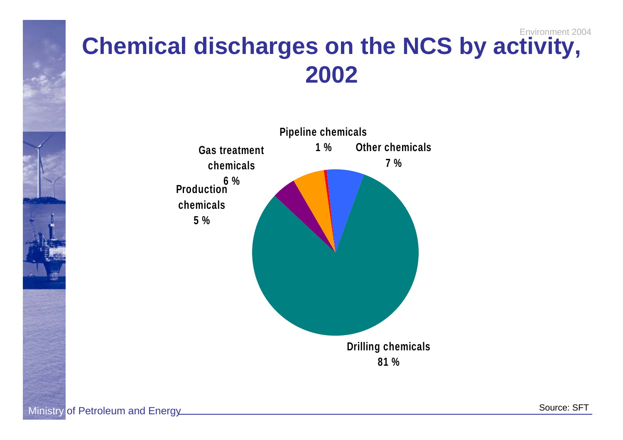

#### Environment 2004**Chemical discharges on the NCS by activity, 2002**



Ministry of Petroleum and Energy

Source: SFT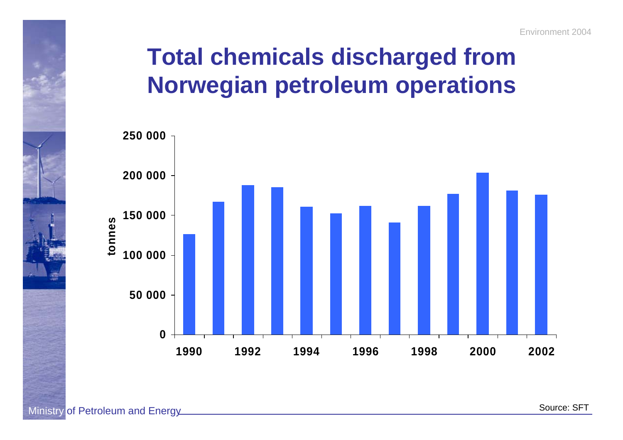# **Total chemicals discharged from Norwegian petroleum operations**



Source: SFT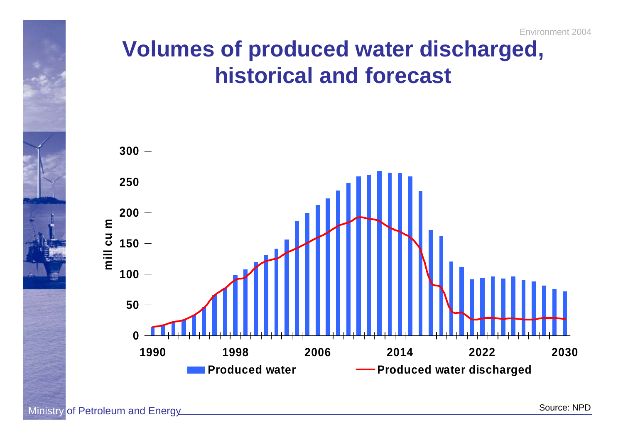#### **Volumes of produced water discharged, historical and forecast**

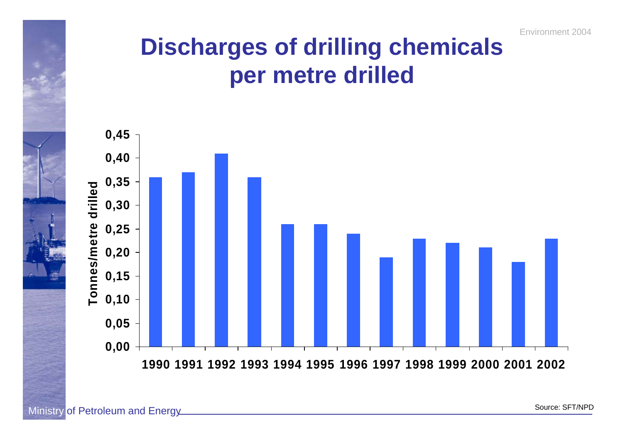Environment 2004

### **Discharges of drilling chemicals per metre drilled**



Ministry of Petroleum and Energy

Source: SFT/NPD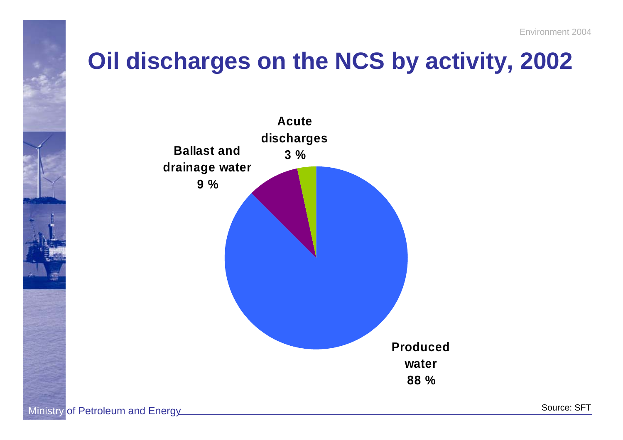

# **Oil discharges on the NCS by activity, 2002**

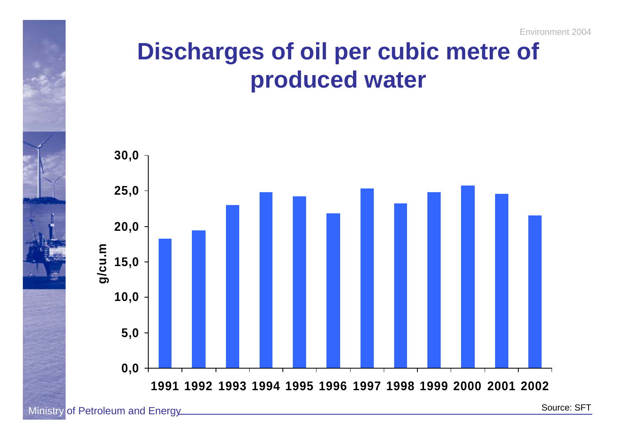# **Discharges of oil per cubic metre of produced water**



Source: SFT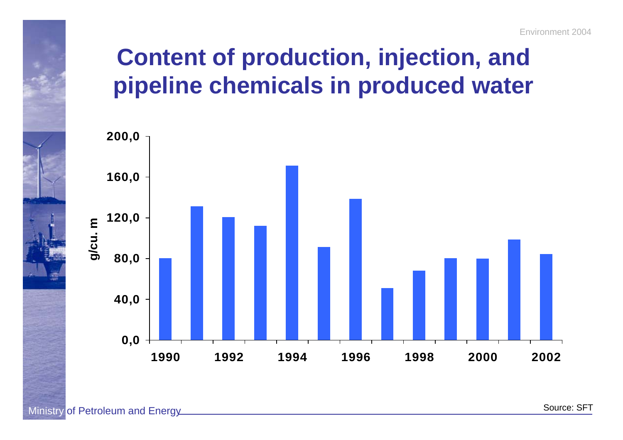# **Content of production, injection, and pipeline chemicals in produced water**

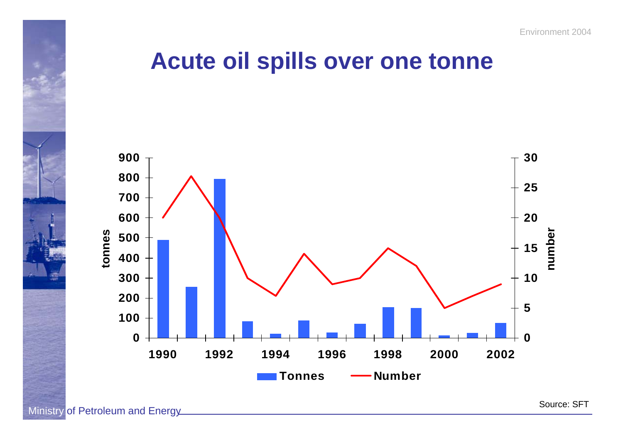#### **Acute oil spills over one tonne**